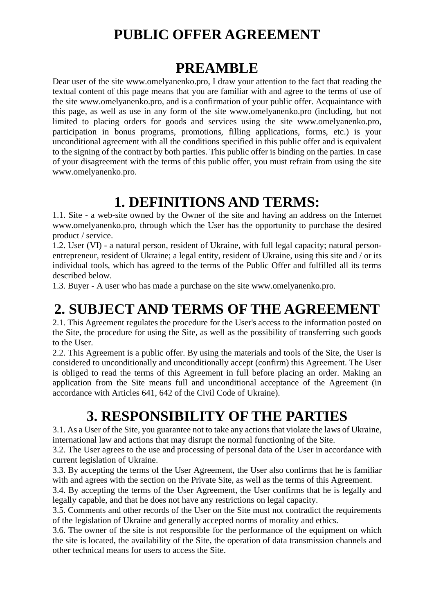### **PUBLIC OFFER AGREEMENT**

#### **PREAMBLE**

Dear user of the site www.omelyanenko.pro, I draw your attention to the fact that reading the textual content of this page means that you are familiar with and agree to the terms of use of the site www.omelyanenko.pro, and is a confirmation of your public offer. Acquaintance with this page, as well as use in any form of the site www.omelyanenko.pro (including, but not limited to placing orders for goods and services using the site www.omelyanenko.pro, participation in bonus programs, promotions, filling applications, forms, etc.) is your unconditional agreement with all the conditions specified in this public offer and is equivalent to the signing of the contract by both parties. This public offer is binding on the parties. In case of your disagreement with the terms of this public offer, you must refrain from using the site www.omelyanenko.pro.

#### **1. DEFINITIONS AND TERMS:**

1.1. Site - a web-site owned by the Owner of the site and having an address on the Internet www.omelyanenko.pro, through which the User has the opportunity to purchase the desired product / service.

1.2. User (VI) - a natural person, resident of Ukraine, with full legal capacity; natural personentrepreneur, resident of Ukraine; a legal entity, resident of Ukraine, using this site and / or its individual tools, which has agreed to the terms of the Public Offer and fulfilled all its terms described below.

1.3. Buyer - A user who has made a purchase on the site www.omelyanenko.pro.

#### **2. SUBJECT AND TERMS OF THE AGREEMENT**

2.1. This Agreement regulates the procedure for the User's access to the information posted on the Site, the procedure for using the Site, as well as the possibility of transferring such goods to the User.

2.2. This Agreement is a public offer. By using the materials and tools of the Site, the User is considered to unconditionally and unconditionally accept (confirm) this Agreement. The User is obliged to read the terms of this Agreement in full before placing an order. Making an application from the Site means full and unconditional acceptance of the Agreement (in accordance with Articles 641, 642 of the Civil Code of Ukraine).

## **3. RESPONSIBILITY OF THE PARTIES**

3.1. As a User of the Site, you guarantee not to take any actions that violate the laws of Ukraine, international law and actions that may disrupt the normal functioning of the Site.

3.2. The User agrees to the use and processing of personal data of the User in accordance with current legislation of Ukraine.

3.3. By accepting the terms of the User Agreement, the User also confirms that he is familiar with and agrees with the section on the Private Site, as well as the terms of this Agreement.

3.4. By accepting the terms of the User Agreement, the User confirms that he is legally and legally capable, and that he does not have any restrictions on legal capacity.

3.5. Comments and other records of the User on the Site must not contradict the requirements of the legislation of Ukraine and generally accepted norms of morality and ethics.

3.6. The owner of the site is not responsible for the performance of the equipment on which the site is located, the availability of the Site, the operation of data transmission channels and other technical means for users to access the Site.